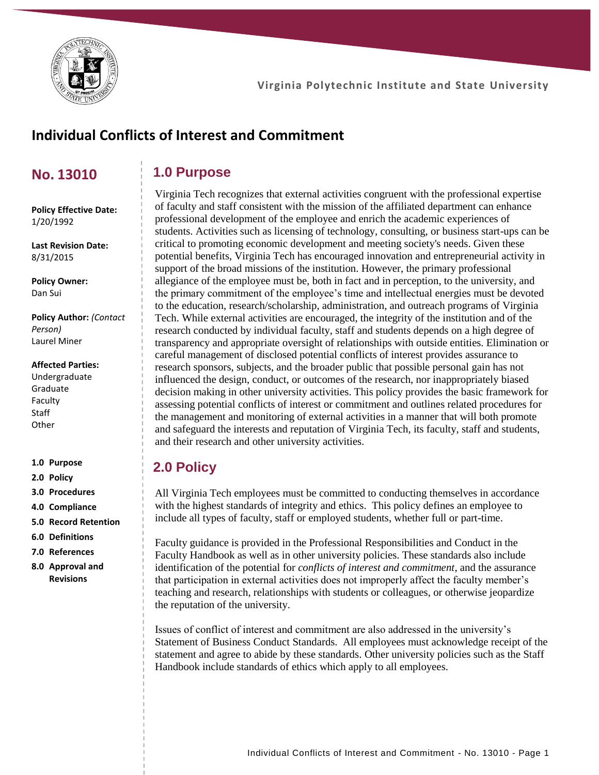

# **Individual Conflicts of Interest and Commitment**

# **No. 13010**

# **1.0 Purpose**

**Policy Effective Date:** 1/20/1992

**Last Revision Date:** 8/31/2015

**Policy Owner:** Dan Sui

**Policy Author:** *(Contact Person)* Laurel Miner

#### **Affected Parties:**

Undergraduate Graduate Faculty **Staff Other** 

**1.0 Purpose**

- **2.0 Policy**
- **3.0 Procedures**
- **4.0 Compliance**
- **5.0 Record Retention**
- **6.0 Definitions**
- **7.0 References**
- **8.0 Approval and Revisions**

Virginia Tech recognizes that external activities congruent with the professional expertise of faculty and staff consistent with the mission of the affiliated department can enhance professional development of the employee and enrich the academic experiences of students. Activities such as licensing of technology, consulting, or business start-ups can be critical to promoting economic development and meeting society's needs. Given these potential benefits, Virginia Tech has encouraged innovation and entrepreneurial activity in support of the broad missions of the institution. However, the primary professional allegiance of the employee must be, both in fact and in perception, to the university, and the primary commitment of the employee's time and intellectual energies must be devoted to the education, research/scholarship, administration, and outreach programs of Virginia Tech. While external activities are encouraged, the integrity of the institution and of the research conducted by individual faculty, staff and students depends on a high degree of transparency and appropriate oversight of relationships with outside entities. Elimination or careful management of disclosed potential conflicts of interest provides assurance to research sponsors, subjects, and the broader public that possible personal gain has not influenced the design, conduct, or outcomes of the research, nor inappropriately biased decision making in other university activities. This policy provides the basic framework for assessing potential conflicts of interest or commitment and outlines related procedures for the management and monitoring of external activities in a manner that will both promote and safeguard the interests and reputation of Virginia Tech, its faculty, staff and students, and their research and other university activities.

# **2.0 Policy**

All Virginia Tech employees must be committed to conducting themselves in accordance with the highest standards of integrity and ethics. This policy defines an employee to include all types of faculty, staff or employed students, whether full or part-time.

Faculty guidance is provided in the Professional Responsibilities and Conduct in the Faculty Handbook as well as in other university policies. These standards also include identification of the potential for *conflicts of interest and commitment*, and the assurance that participation in external activities does not improperly affect the faculty member's teaching and research, relationships with students or colleagues, or otherwise jeopardize the reputation of the university.

Issues of conflict of interest and commitment are also addressed in the university's Statement of Business Conduct Standards. All employees must acknowledge receipt of the statement and agree to abide by these standards. Other university policies such as the Staff Handbook include standards of ethics which apply to all employees.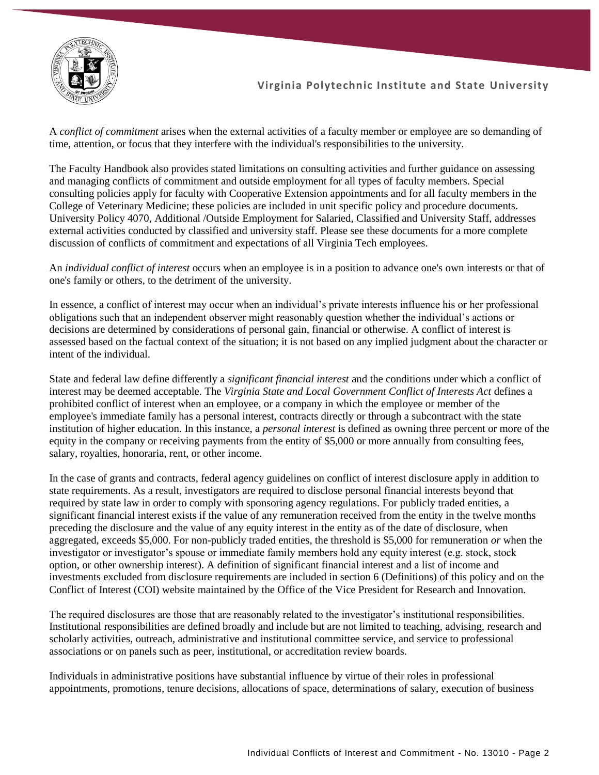

A *conflict of commitment* arises when the external activities of a faculty member or employee are so demanding of time, attention, or focus that they interfere with the individual's responsibilities to the university.

The Faculty Handbook also provides stated limitations on consulting activities and further guidance on assessing and managing conflicts of commitment and outside employment for all types of faculty members. Special consulting policies apply for faculty with Cooperative Extension appointments and for all faculty members in the College of Veterinary Medicine; these policies are included in unit specific policy and procedure documents. University Policy 4070, Additional /Outside Employment for Salaried, Classified and University Staff, addresses external activities conducted by classified and university staff. Please see these documents for a more complete discussion of conflicts of commitment and expectations of all Virginia Tech employees.

An *individual conflict of interest* occurs when an employee is in a position to advance one's own interests or that of one's family or others, to the detriment of the university.

In essence, a conflict of interest may occur when an individual's private interests influence his or her professional obligations such that an independent observer might reasonably question whether the individual's actions or decisions are determined by considerations of personal gain, financial or otherwise. A conflict of interest is assessed based on the factual context of the situation; it is not based on any implied judgment about the character or intent of the individual.

State and federal law define differently a *significant financial interest* and the conditions under which a conflict of interest may be deemed acceptable. The *Virginia State and Local Government Conflict of Interests Act* defines a prohibited conflict of interest when an employee, or a company in which the employee or member of the employee's immediate family has a personal interest, contracts directly or through a subcontract with the state institution of higher education. In this instance, a *personal interest* is defined as owning three percent or more of the equity in the company or receiving payments from the entity of \$5,000 or more annually from consulting fees, salary, royalties, honoraria, rent, or other income.

In the case of grants and contracts, federal agency guidelines on conflict of interest disclosure apply in addition to state requirements. As a result, investigators are required to disclose personal financial interests beyond that required by state law in order to comply with sponsoring agency regulations. For publicly traded entities, a significant financial interest exists if the value of any remuneration received from the entity in the twelve months preceding the disclosure and the value of any equity interest in the entity as of the date of disclosure, when aggregated, exceeds \$5,000. For non-publicly traded entities, the threshold is \$5,000 for remuneration *or* when the investigator or investigator's spouse or immediate family members hold any equity interest (e.g. stock, stock option, or other ownership interest). A definition of significant financial interest and a list of income and investments excluded from disclosure requirements are included in section 6 (Definitions) of this policy and on the Conflict of Interest (COI) website maintained by the Office of the Vice President for Research and Innovation.

The required disclosures are those that are reasonably related to the investigator's institutional responsibilities. Institutional responsibilities are defined broadly and include but are not limited to teaching, advising, research and scholarly activities, outreach, administrative and institutional committee service, and service to professional associations or on panels such as peer, institutional, or accreditation review boards.

Individuals in administrative positions have substantial influence by virtue of their roles in professional appointments, promotions, tenure decisions, allocations of space, determinations of salary, execution of business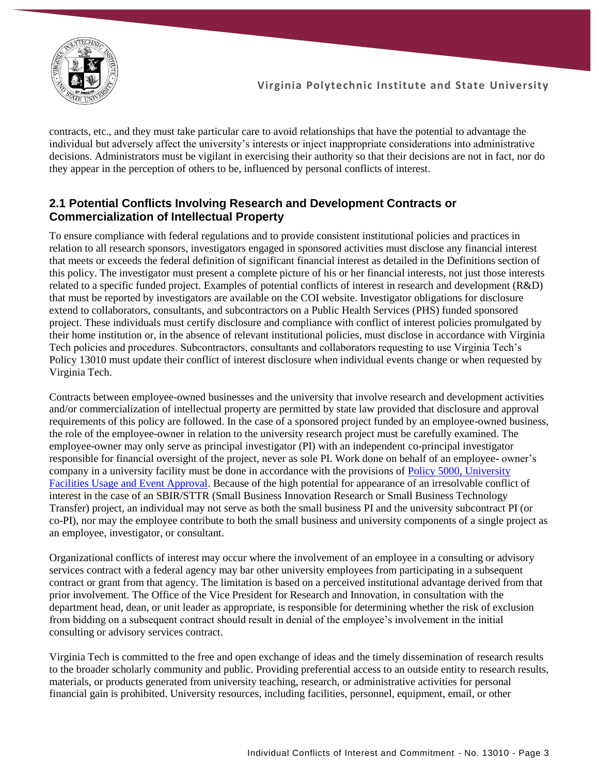

contracts, etc., and they must take particular care to avoid relationships that have the potential to advantage the individual but adversely affect the university's interests or inject inappropriate considerations into administrative decisions. Administrators must be vigilant in exercising their authority so that their decisions are not in fact, nor do they appear in the perception of others to be, influenced by personal conflicts of interest.

### **2.1 Potential Conflicts Involving Research and Development Contracts or Commercialization of Intellectual Property**

To ensure compliance with federal regulations and to provide consistent institutional policies and practices in relation to all research sponsors, investigators engaged in sponsored activities must disclose any financial interest that meets or exceeds the federal definition of significant financial interest as detailed in the Definitions section of this policy. The investigator must present a complete picture of his or her financial interests, not just those interests related to a specific funded project. Examples of potential conflicts of interest in research and development (R&D) that must be reported by investigators are available on the COI website. Investigator obligations for disclosure extend to collaborators, consultants, and subcontractors on a Public Health Services (PHS) funded sponsored project. These individuals must certify disclosure and compliance with conflict of interest policies promulgated by their home institution or, in the absence of relevant institutional policies, must disclose in accordance with Virginia Tech policies and procedures. Subcontractors, consultants and collaborators requesting to use Virginia Tech's Policy 13010 must update their conflict of interest disclosure when individual events change or when requested by Virginia Tech.

Contracts between employee-owned businesses and the university that involve research and development activities and/or commercialization of intellectual property are permitted by state law provided that disclosure and approval requirements of this policy are followed. In the case of a sponsored project funded by an employee-owned business, the role of the employee-owner in relation to the university research project must be carefully examined. The employee-owner may only serve as principal investigator (PI) with an independent co-principal investigator responsible for financial oversight of the project, never as sole PI. Work done on behalf of an employee- owner's company in a university facility must be done in accordance with the provisions of [Policy 5000, University](https://policies.vt.edu/assets/5000.pdf)  [Facilities Usage and Event Approval.](https://policies.vt.edu/assets/5000.pdf) Because of the high potential for appearance of an irresolvable conflict of interest in the case of an SBIR/STTR (Small Business Innovation Research or Small Business Technology Transfer) project, an individual may not serve as both the small business PI and the university subcontract PI (or co-PI), nor may the employee contribute to both the small business and university components of a single project as an employee, investigator, or consultant.

Organizational conflicts of interest may occur where the involvement of an employee in a consulting or advisory services contract with a federal agency may bar other university employees from participating in a subsequent contract or grant from that agency. The limitation is based on a perceived institutional advantage derived from that prior involvement. The Office of the Vice President for Research and Innovation, in consultation with the department head, dean, or unit leader as appropriate, is responsible for determining whether the risk of exclusion from bidding on a subsequent contract should result in denial of the employee's involvement in the initial consulting or advisory services contract.

Virginia Tech is committed to the free and open exchange of ideas and the timely dissemination of research results to the broader scholarly community and public. Providing preferential access to an outside entity to research results, materials, or products generated from university teaching, research, or administrative activities for personal financial gain is prohibited. University resources, including facilities, personnel, equipment, email, or other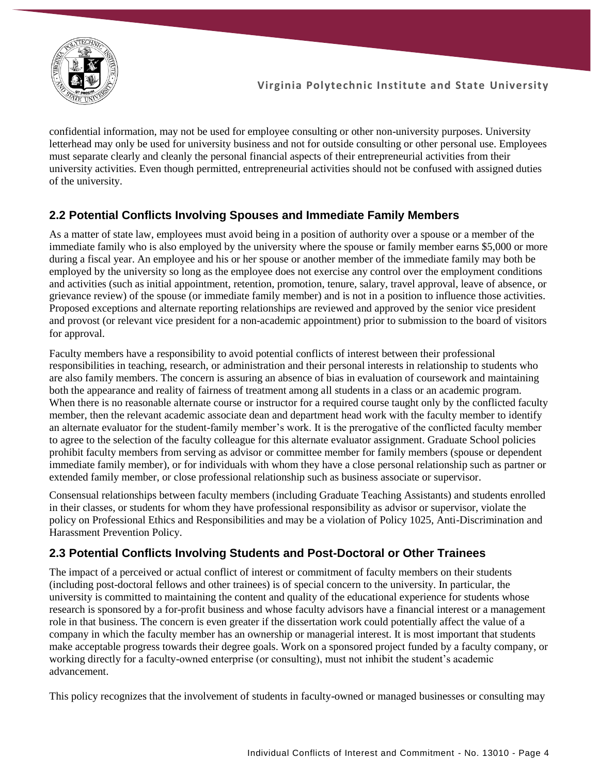

confidential information, may not be used for employee consulting or other non-university purposes. University letterhead may only be used for university business and not for outside consulting or other personal use. Employees must separate clearly and cleanly the personal financial aspects of their entrepreneurial activities from their university activities. Even though permitted, entrepreneurial activities should not be confused with assigned duties of the university.

# **2.2 Potential Conflicts Involving Spouses and Immediate Family Members**

As a matter of state law, employees must avoid being in a position of authority over a spouse or a member of the immediate family who is also employed by the university where the spouse or family member earns \$5,000 or more during a fiscal year. An employee and his or her spouse or another member of the immediate family may both be employed by the university so long as the employee does not exercise any control over the employment conditions and activities (such as initial appointment, retention, promotion, tenure, salary, travel approval, leave of absence, or grievance review) of the spouse (or immediate family member) and is not in a position to influence those activities. Proposed exceptions and alternate reporting relationships are reviewed and approved by the senior vice president and provost (or relevant vice president for a non-academic appointment) prior to submission to the board of visitors for approval.

Faculty members have a responsibility to avoid potential conflicts of interest between their professional responsibilities in teaching, research, or administration and their personal interests in relationship to students who are also family members. The concern is assuring an absence of bias in evaluation of coursework and maintaining both the appearance and reality of fairness of treatment among all students in a class or an academic program. When there is no reasonable alternate course or instructor for a required course taught only by the conflicted faculty member, then the relevant academic associate dean and department head work with the faculty member to identify an alternate evaluator for the student-family member's work. It is the prerogative of the conflicted faculty member to agree to the selection of the faculty colleague for this alternate evaluator assignment. Graduate School policies prohibit faculty members from serving as advisor or committee member for family members (spouse or dependent immediate family member), or for individuals with whom they have a close personal relationship such as partner or extended family member, or close professional relationship such as business associate or supervisor.

Consensual relationships between faculty members (including Graduate Teaching Assistants) and students enrolled in their classes, or students for whom they have professional responsibility as advisor or supervisor, violate the policy on Professional Ethics and Responsibilities and may be a violation of Policy 1025, Anti-Discrimination and Harassment Prevention Policy.

# **2.3 Potential Conflicts Involving Students and Post-Doctoral or Other Trainees**

The impact of a perceived or actual conflict of interest or commitment of faculty members on their students (including post-doctoral fellows and other trainees) is of special concern to the university. In particular, the university is committed to maintaining the content and quality of the educational experience for students whose research is sponsored by a for-profit business and whose faculty advisors have a financial interest or a management role in that business. The concern is even greater if the dissertation work could potentially affect the value of a company in which the faculty member has an ownership or managerial interest. It is most important that students make acceptable progress towards their degree goals. Work on a sponsored project funded by a faculty company, or working directly for a faculty-owned enterprise (or consulting), must not inhibit the student's academic advancement.

This policy recognizes that the involvement of students in faculty-owned or managed businesses or consulting may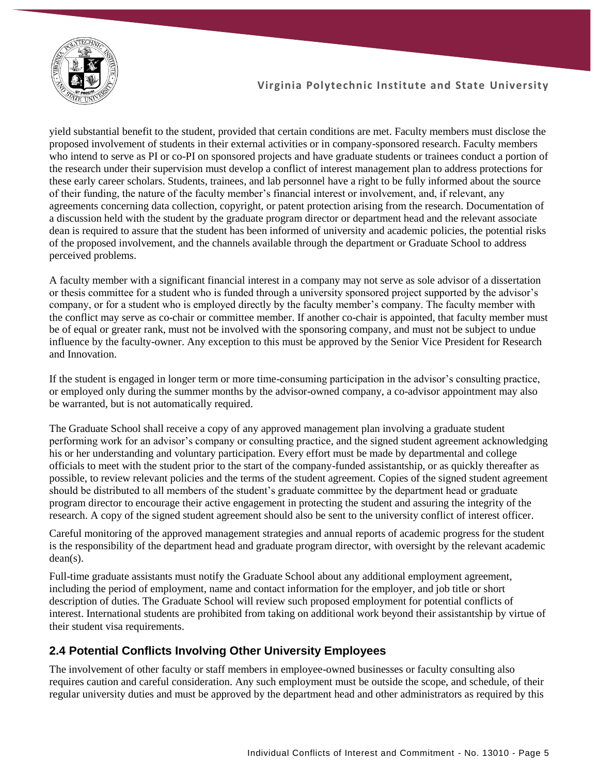

yield substantial benefit to the student, provided that certain conditions are met. Faculty members must disclose the proposed involvement of students in their external activities or in company-sponsored research. Faculty members who intend to serve as PI or co-PI on sponsored projects and have graduate students or trainees conduct a portion of the research under their supervision must develop a conflict of interest management plan to address protections for these early career scholars. Students, trainees, and lab personnel have a right to be fully informed about the source of their funding, the nature of the faculty member's financial interest or involvement, and, if relevant, any agreements concerning data collection, copyright, or patent protection arising from the research. Documentation of a discussion held with the student by the graduate program director or department head and the relevant associate dean is required to assure that the student has been informed of university and academic policies, the potential risks of the proposed involvement, and the channels available through the department or Graduate School to address perceived problems.

A faculty member with a significant financial interest in a company may not serve as sole advisor of a dissertation or thesis committee for a student who is funded through a university sponsored project supported by the advisor's company, or for a student who is employed directly by the faculty member's company. The faculty member with the conflict may serve as co-chair or committee member. If another co-chair is appointed, that faculty member must be of equal or greater rank, must not be involved with the sponsoring company, and must not be subject to undue influence by the faculty-owner. Any exception to this must be approved by the Senior Vice President for Research and Innovation.

If the student is engaged in longer term or more time-consuming participation in the advisor's consulting practice, or employed only during the summer months by the advisor-owned company, a co-advisor appointment may also be warranted, but is not automatically required.

The Graduate School shall receive a copy of any approved management plan involving a graduate student performing work for an advisor's company or consulting practice, and the signed student agreement acknowledging his or her understanding and voluntary participation. Every effort must be made by departmental and college officials to meet with the student prior to the start of the company-funded assistantship, or as quickly thereafter as possible, to review relevant policies and the terms of the student agreement. Copies of the signed student agreement should be distributed to all members of the student's graduate committee by the department head or graduate program director to encourage their active engagement in protecting the student and assuring the integrity of the research. A copy of the signed student agreement should also be sent to the university conflict of interest officer.

Careful monitoring of the approved management strategies and annual reports of academic progress for the student is the responsibility of the department head and graduate program director, with oversight by the relevant academic dean(s).

Full-time graduate assistants must notify the Graduate School about any additional employment agreement, including the period of employment, name and contact information for the employer, and job title or short description of duties. The Graduate School will review such proposed employment for potential conflicts of interest. International students are prohibited from taking on additional work beyond their assistantship by virtue of their student visa requirements.

# **2.4 Potential Conflicts Involving Other University Employees**

The involvement of other faculty or staff members in employee-owned businesses or faculty consulting also requires caution and careful consideration. Any such employment must be outside the scope, and schedule, of their regular university duties and must be approved by the department head and other administrators as required by this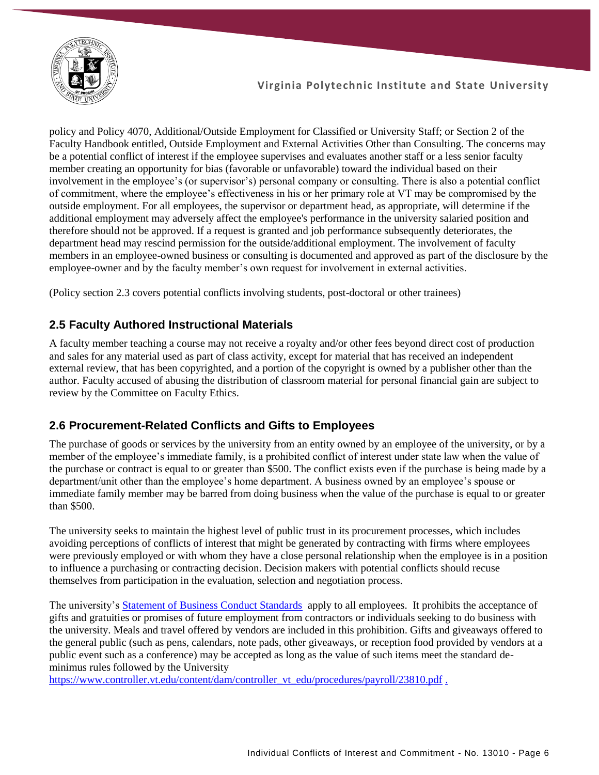

policy and Policy 4070, Additional/Outside Employment for Classified or University Staff; or Section 2 of the Faculty Handbook entitled, Outside Employment and External Activities Other than Consulting. The concerns may be a potential conflict of interest if the employee supervises and evaluates another staff or a less senior faculty member creating an opportunity for bias (favorable or unfavorable) toward the individual based on their involvement in the employee's (or supervisor's) personal company or consulting. There is also a potential conflict of commitment, where the employee's effectiveness in his or her primary role at VT may be compromised by the outside employment. For all employees, the supervisor or department head, as appropriate, will determine if the additional employment may adversely affect the employee's performance in the university salaried position and therefore should not be approved. If a request is granted and job performance subsequently deteriorates, the department head may rescind permission for the outside/additional employment. The involvement of faculty members in an employee-owned business or consulting is documented and approved as part of the disclosure by the employee-owner and by the faculty member's own request for involvement in external activities.

(Policy section 2.3 covers potential conflicts involving students, post-doctoral or other trainees)

#### **2.5 Faculty Authored Instructional Materials**

A faculty member teaching a course may not receive a royalty and/or other fees beyond direct cost of production and sales for any material used as part of class activity, except for material that has received an independent external review, that has been copyrighted, and a portion of the copyright is owned by a publisher other than the author. Faculty accused of abusing the distribution of classroom material for personal financial gain are subject to review by the Committee on Faculty Ethics.

#### **2.6 Procurement-Related Conflicts and Gifts to Employees**

The purchase of goods or services by the university from an entity owned by an employee of the university, or by a member of the employee's immediate family, is a prohibited conflict of interest under state law when the value of the purchase or contract is equal to or greater than \$500. The conflict exists even if the purchase is being made by a department/unit other than the employee's home department. A business owned by an employee's spouse or immediate family member may be barred from doing business when the value of the purchase is equal to or greater than \$500.

The university seeks to maintain the highest level of public trust in its procurement processes, which includes avoiding perceptions of conflicts of interest that might be generated by contracting with firms where employees were previously employed or with whom they have a close personal relationship when the employee is in a position to influence a purchasing or contracting decision. Decision makers with potential conflicts should recuse themselves from participation in the evaluation, selection and negotiation process.

The university's [Statement of Business Conduct Standards](https://financialmanagement.vpfin.vt.edu/business-practices/business-conduct-standards.html) apply to all employees. It prohibits the acceptance of gifts and gratuities or promises of future employment from contractors or individuals seeking to do business with the university. Meals and travel offered by vendors are included in this prohibition. Gifts and giveaways offered to the general public (such as pens, calendars, note pads, other giveaways, or reception food provided by vendors at a public event such as a conference) may be accepted as long as the value of such items meet the standard deminimus rules followed by the University

[https://www.controller.vt.edu/content/dam/controller\\_vt\\_edu/procedures/payroll/23810.pdf](https://www.controller.vt.edu/content/dam/controller_vt_edu/procedures/payroll/23810.pdf) .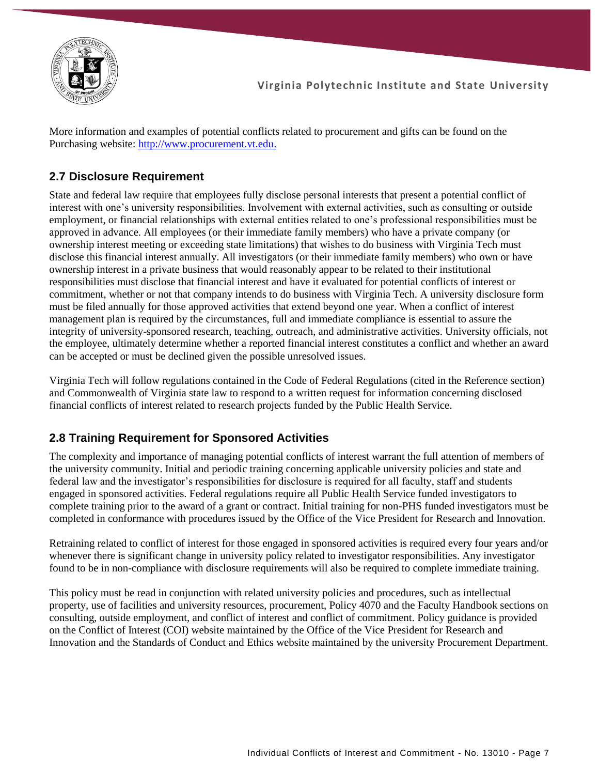

More information and examples of potential conflicts related to procurement and gifts can be found on the Purchasing website: [http://www.procurement.vt.edu.](http://www.procurement.vt.edu/Department/Ethics.html)

# **2.7 Disclosure Requirement**

State and federal law require that employees fully disclose personal interests that present a potential conflict of interest with one's university responsibilities. Involvement with external activities, such as consulting or outside employment, or financial relationships with external entities related to one's professional responsibilities must be approved in advance. All employees (or their immediate family members) who have a private company (or ownership interest meeting or exceeding state limitations) that wishes to do business with Virginia Tech must disclose this financial interest annually. All investigators (or their immediate family members) who own or have ownership interest in a private business that would reasonably appear to be related to their institutional responsibilities must disclose that financial interest and have it evaluated for potential conflicts of interest or commitment, whether or not that company intends to do business with Virginia Tech. A university disclosure form must be filed annually for those approved activities that extend beyond one year. When a conflict of interest management plan is required by the circumstances, full and immediate compliance is essential to assure the integrity of university-sponsored research, teaching, outreach, and administrative activities. University officials, not the employee, ultimately determine whether a reported financial interest constitutes a conflict and whether an award can be accepted or must be declined given the possible unresolved issues.

Virginia Tech will follow regulations contained in the Code of Federal Regulations (cited in the Reference section) and Commonwealth of Virginia state law to respond to a written request for information concerning disclosed financial conflicts of interest related to research projects funded by the Public Health Service.

# **2.8 Training Requirement for Sponsored Activities**

The complexity and importance of managing potential conflicts of interest warrant the full attention of members of the university community. Initial and periodic training concerning applicable university policies and state and federal law and the investigator's responsibilities for disclosure is required for all faculty, staff and students engaged in sponsored activities. Federal regulations require all Public Health Service funded investigators to complete training prior to the award of a grant or contract. Initial training for non-PHS funded investigators must be completed in conformance with procedures issued by the Office of the Vice President for Research and Innovation.

Retraining related to conflict of interest for those engaged in sponsored activities is required every four years and/or whenever there is significant change in university policy related to investigator responsibilities. Any investigator found to be in non-compliance with disclosure requirements will also be required to complete immediate training.

This policy must be read in conjunction with related university policies and procedures, such as intellectual property, use of facilities and university resources, procurement, Policy 4070 and the Faculty Handbook sections on consulting, outside employment, and conflict of interest and conflict of commitment. Policy guidance is provided on the Conflict of Interest (COI) website maintained by the Office of the Vice President for Research and Innovation and the Standards of Conduct and Ethics website maintained by the university Procurement Department.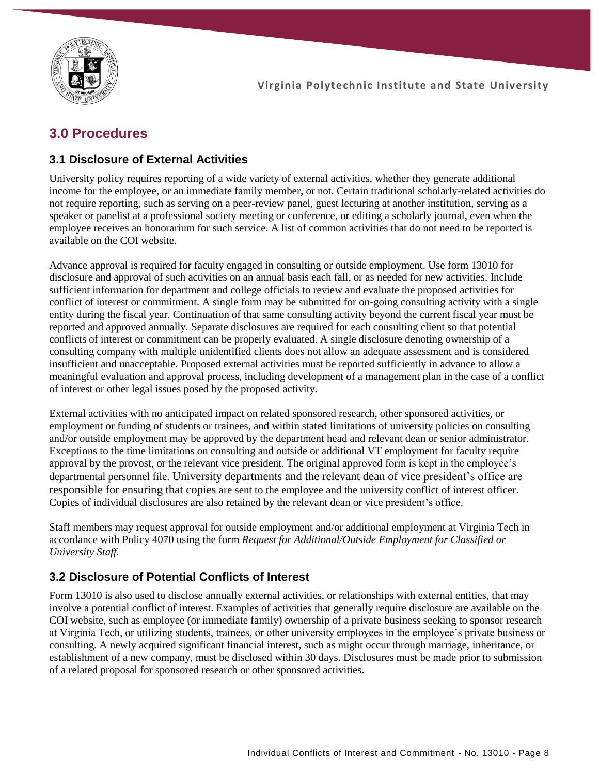

# **3.0 Procedures**

#### **3.1 Disclosure of External Activities**

University policy requires reporting of a wide variety of external activities, whether they generate additional income for the employee, or an immediate family member, or not. Certain traditional scholarly-related activities do not require reporting, such as serving on a peer-review panel, guest lecturing at another institution, serving as a speaker or panelist at a professional society meeting or conference, or editing a scholarly journal, even when the employee receives an honorarium for such service. A list of common activities that do not need to be reported is available on the COI website.

Advance approval is required for faculty engaged in consulting or outside employment. Use form 13010 for disclosure and approval of such activities on an annual basis each fall, or as needed for new activities. Include sufficient information for department and college officials to review and evaluate the proposed activities for conflict of interest or commitment. A single form may be submitted for on-going consulting activity with a single entity during the fiscal year. Continuation of that same consulting activity beyond the current fiscal year must be reported and approved annually. Separate disclosures are required for each consulting client so that potential conflicts of interest or commitment can be properly evaluated. A single disclosure denoting ownership of a consulting company with multiple unidentified clients does not allow an adequate assessment and is considered insufficient and unacceptable. Proposed external activities must be reported sufficiently in advance to allow a meaningful evaluation and approval process, including development of a management plan in the case of a conflict of interest or other legal issues posed by the proposed activity.

External activities with no anticipated impact on related sponsored research, other sponsored activities, or employment or funding of students or trainees, and within stated limitations of university policies on consulting and/or outside employment may be approved by the department head and relevant dean or senior administrator. Exceptions to the time limitations on consulting and outside or additional VT employment for faculty require approval by the provost, or the relevant vice president. The original approved form is kept in the employee's departmental personnel file. University departments and the relevant dean of vice president's office are responsible for ensuring that copies are sent to the employee and the university conflict of interest officer. Copies of individual disclosures are also retained by the relevant dean or vice president's office.

Staff members may request approval for outside employment and/or additional employment at Virginia Tech in accordance with Policy 4070 using the form *Request for Additional/Outside Employment for Classified or University Staff.* 

# **3.2 Disclosure of Potential Conflicts of Interest**

Form 13010 is also used to disclose annually external activities, or relationships with external entities, that may involve a potential conflict of interest. Examples of activities that generally require disclosure are available on the COI website, such as employee (or immediate family) ownership of a private business seeking to sponsor research at Virginia Tech, or utilizing students, trainees, or other university employees in the employee's private business or consulting. A newly acquired significant financial interest, such as might occur through marriage, inheritance, or establishment of a new company, must be disclosed within 30 days. Disclosures must be made prior to submission of a related proposal for sponsored research or other sponsored activities.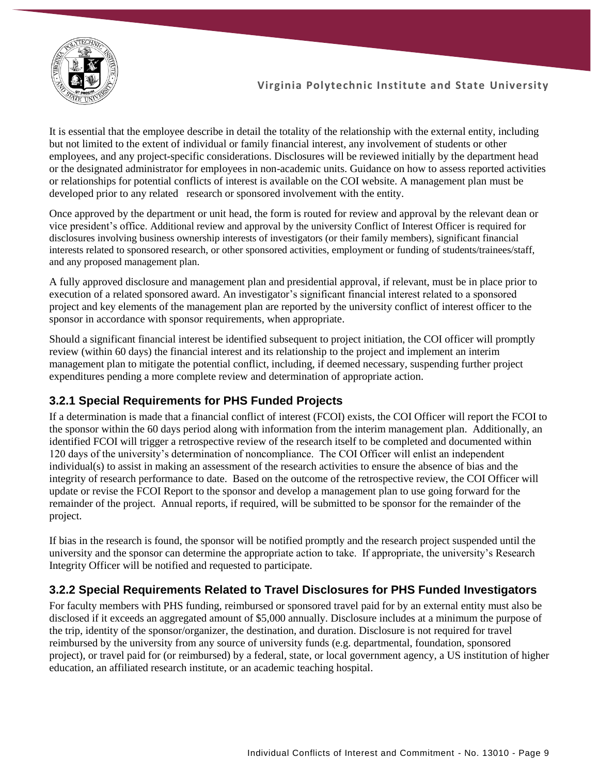

It is essential that the employee describe in detail the totality of the relationship with the external entity, including but not limited to the extent of individual or family financial interest, any involvement of students or other employees, and any project-specific considerations. Disclosures will be reviewed initially by the department head or the designated administrator for employees in non-academic units. Guidance on how to assess reported activities or relationships for potential conflicts of interest is available on the COI website. A management plan must be developed prior to any related research or sponsored involvement with the entity.

Once approved by the department or unit head, the form is routed for review and approval by the relevant dean or vice president's office. Additional review and approval by the university Conflict of Interest Officer is required for disclosures involving business ownership interests of investigators (or their family members), significant financial interests related to sponsored research, or other sponsored activities, employment or funding of students/trainees/staff, and any proposed management plan.

A fully approved disclosure and management plan and presidential approval, if relevant, must be in place prior to execution of a related sponsored award. An investigator's significant financial interest related to a sponsored project and key elements of the management plan are reported by the university conflict of interest officer to the sponsor in accordance with sponsor requirements, when appropriate.

Should a significant financial interest be identified subsequent to project initiation, the COI officer will promptly review (within 60 days) the financial interest and its relationship to the project and implement an interim management plan to mitigate the potential conflict, including, if deemed necessary, suspending further project expenditures pending a more complete review and determination of appropriate action.

# **3.2.1 Special Requirements for PHS Funded Projects**

If a determination is made that a financial conflict of interest (FCOI) exists, the COI Officer will report the FCOI to the sponsor within the 60 days period along with information from the interim management plan. Additionally, an identified FCOI will trigger a retrospective review of the research itself to be completed and documented within 120 days of the university's determination of noncompliance. The COI Officer will enlist an independent individual(s) to assist in making an assessment of the research activities to ensure the absence of bias and the integrity of research performance to date. Based on the outcome of the retrospective review, the COI Officer will update or revise the FCOI Report to the sponsor and develop a management plan to use going forward for the remainder of the project. Annual reports, if required, will be submitted to be sponsor for the remainder of the project.

If bias in the research is found, the sponsor will be notified promptly and the research project suspended until the university and the sponsor can determine the appropriate action to take. If appropriate, the university's Research Integrity Officer will be notified and requested to participate.

# **3.2.2 Special Requirements Related to Travel Disclosures for PHS Funded Investigators**

For faculty members with PHS funding, reimbursed or sponsored travel paid for by an external entity must also be disclosed if it exceeds an aggregated amount of \$5,000 annually. Disclosure includes at a minimum the purpose of the trip, identity of the sponsor/organizer, the destination, and duration. Disclosure is not required for travel reimbursed by the university from any source of university funds (e.g. departmental, foundation, sponsored project), or travel paid for (or reimbursed) by a federal, state, or local government agency, a US institution of higher education, an affiliated research institute, or an academic teaching hospital.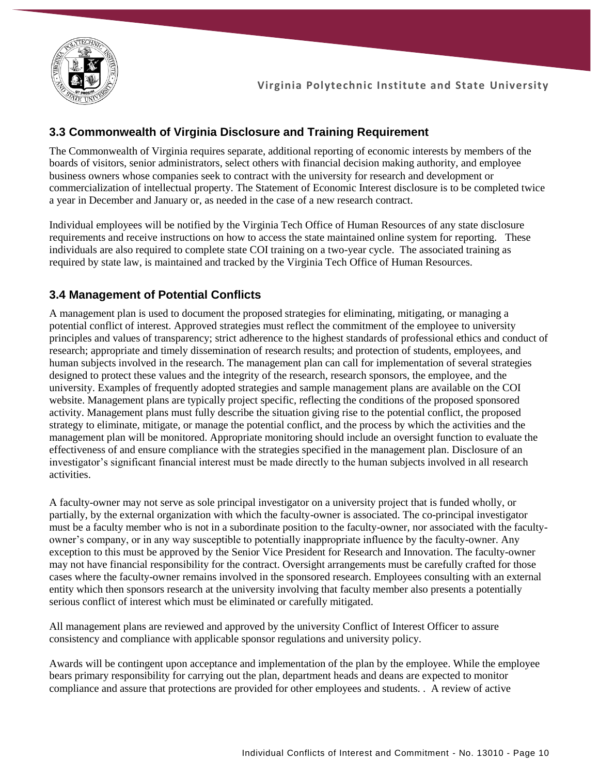

### **3.3 Commonwealth of Virginia Disclosure and Training Requirement**

The Commonwealth of Virginia requires separate, additional reporting of economic interests by members of the boards of visitors, senior administrators, select others with financial decision making authority, and employee business owners whose companies seek to contract with the university for research and development or commercialization of intellectual property. The Statement of Economic Interest disclosure is to be completed twice a year in December and January or, as needed in the case of a new research contract.

Individual employees will be notified by the Virginia Tech Office of Human Resources of any state disclosure requirements and receive instructions on how to access the state maintained online system for reporting. These individuals are also required to complete state COI training on a two-year cycle. The associated training as required by state law, is maintained and tracked by the Virginia Tech Office of Human Resources.

### **3.4 Management of Potential Conflicts**

A management plan is used to document the proposed strategies for eliminating, mitigating, or managing a potential conflict of interest. Approved strategies must reflect the commitment of the employee to university principles and values of transparency; strict adherence to the highest standards of professional ethics and conduct of research; appropriate and timely dissemination of research results; and protection of students, employees, and human subjects involved in the research. The management plan can call for implementation of several strategies designed to protect these values and the integrity of the research, research sponsors, the employee, and the university. Examples of frequently adopted strategies and sample management plans are available on the COI website. Management plans are typically project specific, reflecting the conditions of the proposed sponsored activity. Management plans must fully describe the situation giving rise to the potential conflict, the proposed strategy to eliminate, mitigate, or manage the potential conflict, and the process by which the activities and the management plan will be monitored. Appropriate monitoring should include an oversight function to evaluate the effectiveness of and ensure compliance with the strategies specified in the management plan. Disclosure of an investigator's significant financial interest must be made directly to the human subjects involved in all research activities.

A faculty-owner may not serve as sole principal investigator on a university project that is funded wholly, or partially, by the external organization with which the faculty-owner is associated. The co-principal investigator must be a faculty member who is not in a subordinate position to the faculty-owner, nor associated with the facultyowner's company, or in any way susceptible to potentially inappropriate influence by the faculty-owner. Any exception to this must be approved by the Senior Vice President for Research and Innovation. The faculty-owner may not have financial responsibility for the contract. Oversight arrangements must be carefully crafted for those cases where the faculty-owner remains involved in the sponsored research. Employees consulting with an external entity which then sponsors research at the university involving that faculty member also presents a potentially serious conflict of interest which must be eliminated or carefully mitigated.

All management plans are reviewed and approved by the university Conflict of Interest Officer to assure consistency and compliance with applicable sponsor regulations and university policy.

Awards will be contingent upon acceptance and implementation of the plan by the employee. While the employee bears primary responsibility for carrying out the plan, department heads and deans are expected to monitor compliance and assure that protections are provided for other employees and students. . A review of active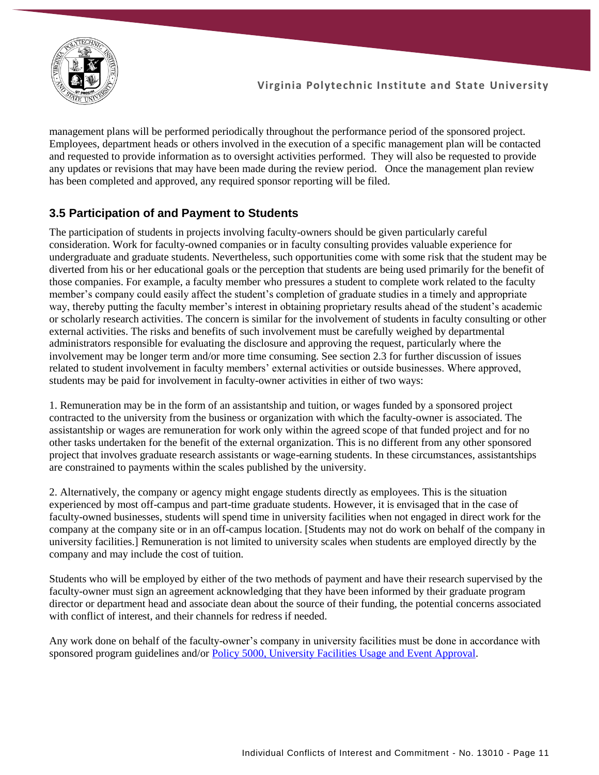

management plans will be performed periodically throughout the performance period of the sponsored project. Employees, department heads or others involved in the execution of a specific management plan will be contacted and requested to provide information as to oversight activities performed. They will also be requested to provide any updates or revisions that may have been made during the review period. Once the management plan review has been completed and approved, any required sponsor reporting will be filed.

# **3.5 Participation of and Payment to Students**

The participation of students in projects involving faculty-owners should be given particularly careful consideration. Work for faculty-owned companies or in faculty consulting provides valuable experience for undergraduate and graduate students. Nevertheless, such opportunities come with some risk that the student may be diverted from his or her educational goals or the perception that students are being used primarily for the benefit of those companies. For example, a faculty member who pressures a student to complete work related to the faculty member's company could easily affect the student's completion of graduate studies in a timely and appropriate way, thereby putting the faculty member's interest in obtaining proprietary results ahead of the student's academic or scholarly research activities. The concern is similar for the involvement of students in faculty consulting or other external activities. The risks and benefits of such involvement must be carefully weighed by departmental administrators responsible for evaluating the disclosure and approving the request, particularly where the involvement may be longer term and/or more time consuming. See section 2.3 for further discussion of issues related to student involvement in faculty members' external activities or outside businesses. Where approved, students may be paid for involvement in faculty-owner activities in either of two ways:

1. Remuneration may be in the form of an assistantship and tuition, or wages funded by a sponsored project contracted to the university from the business or organization with which the faculty-owner is associated. The assistantship or wages are remuneration for work only within the agreed scope of that funded project and for no other tasks undertaken for the benefit of the external organization. This is no different from any other sponsored project that involves graduate research assistants or wage-earning students. In these circumstances, assistantships are constrained to payments within the scales published by the university.

2. Alternatively, the company or agency might engage students directly as employees. This is the situation experienced by most off-campus and part-time graduate students. However, it is envisaged that in the case of faculty-owned businesses, students will spend time in university facilities when not engaged in direct work for the company at the company site or in an off-campus location. [Students may not do work on behalf of the company in university facilities.] Remuneration is not limited to university scales when students are employed directly by the company and may include the cost of tuition.

Students who will be employed by either of the two methods of payment and have their research supervised by the faculty-owner must sign an agreement acknowledging that they have been informed by their graduate program director or department head and associate dean about the source of their funding, the potential concerns associated with conflict of interest, and their channels for redress if needed.

Any work done on behalf of the faculty-owner's company in university facilities must be done in accordance with sponsored program guidelines and/or [Policy 5000, University Facilities Usage and Event Approval.](https://policies.vt.edu/assets/5000.pdf)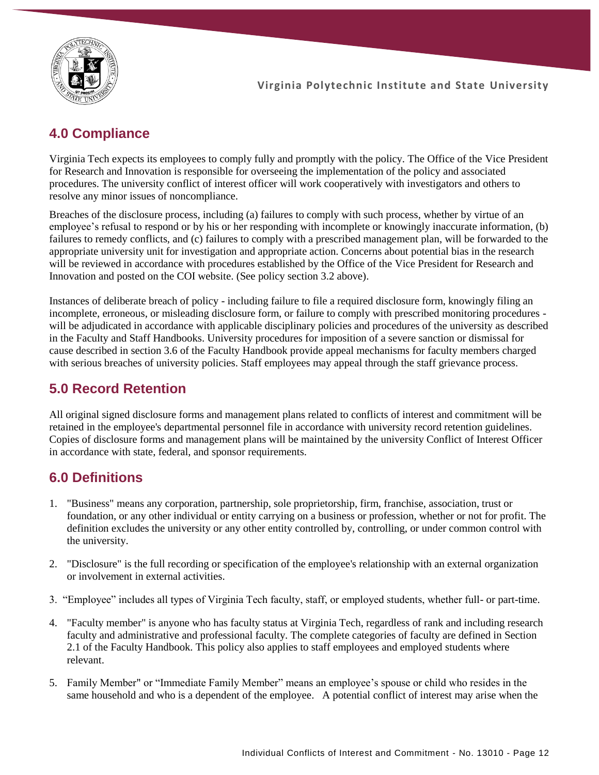

# **4.0 Compliance**

Virginia Tech expects its employees to comply fully and promptly with the policy. The Office of the Vice President for Research and Innovation is responsible for overseeing the implementation of the policy and associated procedures. The university conflict of interest officer will work cooperatively with investigators and others to resolve any minor issues of noncompliance.

Breaches of the disclosure process, including (a) failures to comply with such process, whether by virtue of an employee's refusal to respond or by his or her responding with incomplete or knowingly inaccurate information, (b) failures to remedy conflicts, and (c) failures to comply with a prescribed management plan, will be forwarded to the appropriate university unit for investigation and appropriate action. Concerns about potential bias in the research will be reviewed in accordance with procedures established by the Office of the Vice President for Research and Innovation and posted on the COI website. (See policy section 3.2 above).

Instances of deliberate breach of policy - including failure to file a required disclosure form, knowingly filing an incomplete, erroneous, or misleading disclosure form, or failure to comply with prescribed monitoring procedures will be adjudicated in accordance with applicable disciplinary policies and procedures of the university as described in the Faculty and Staff Handbooks. University procedures for imposition of a severe sanction or dismissal for cause described in section 3.6 of the Faculty Handbook provide appeal mechanisms for faculty members charged with serious breaches of university policies. Staff employees may appeal through the staff grievance process.

# **5.0 Record Retention**

All original signed disclosure forms and management plans related to conflicts of interest and commitment will be retained in the employee's departmental personnel file in accordance with university record retention guidelines. Copies of disclosure forms and management plans will be maintained by the university Conflict of Interest Officer in accordance with state, federal, and sponsor requirements.

# **6.0 Definitions**

- 1. "Business" means any corporation, partnership, sole proprietorship, firm, franchise, association, trust or foundation, or any other individual or entity carrying on a business or profession, whether or not for profit. The definition excludes the university or any other entity controlled by, controlling, or under common control with the university.
- 2. "Disclosure" is the full recording or specification of the employee's relationship with an external organization or involvement in external activities.
- 3. "Employee" includes all types of Virginia Tech faculty, staff, or employed students, whether full- or part-time.
- 4. "Faculty member" is anyone who has faculty status at Virginia Tech, regardless of rank and including research faculty and administrative and professional faculty. The complete categories of faculty are defined in Section 2.1 of the Faculty Handbook. This policy also applies to staff employees and employed students where relevant.
- 5. Family Member" or "Immediate Family Member" means an employee's spouse or child who resides in the same household and who is a dependent of the employee. A potential conflict of interest may arise when the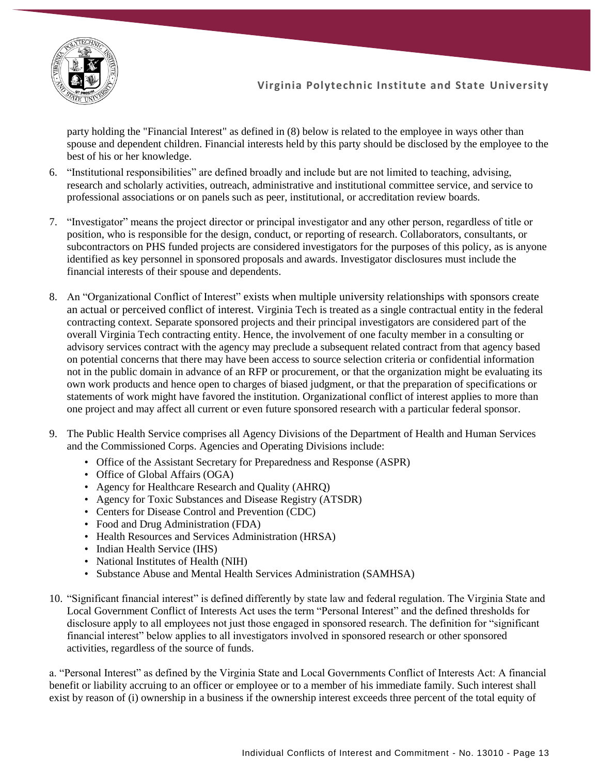

party holding the "Financial Interest" as defined in (8) below is related to the employee in ways other than spouse and dependent children. Financial interests held by this party should be disclosed by the employee to the best of his or her knowledge.

- 6. "Institutional responsibilities" are defined broadly and include but are not limited to teaching, advising, research and scholarly activities, outreach, administrative and institutional committee service, and service to professional associations or on panels such as peer, institutional, or accreditation review boards.
- 7. "Investigator" means the project director or principal investigator and any other person, regardless of title or position, who is responsible for the design, conduct, or reporting of research. Collaborators, consultants, or subcontractors on PHS funded projects are considered investigators for the purposes of this policy, as is anyone identified as key personnel in sponsored proposals and awards. Investigator disclosures must include the financial interests of their spouse and dependents.
- 8. An "Organizational Conflict of Interest" exists when multiple university relationships with sponsors create an actual or perceived conflict of interest. Virginia Tech is treated as a single contractual entity in the federal contracting context. Separate sponsored projects and their principal investigators are considered part of the overall Virginia Tech contracting entity. Hence, the involvement of one faculty member in a consulting or advisory services contract with the agency may preclude a subsequent related contract from that agency based on potential concerns that there may have been access to source selection criteria or confidential information not in the public domain in advance of an RFP or procurement, or that the organization might be evaluating its own work products and hence open to charges of biased judgment, or that the preparation of specifications or statements of work might have favored the institution. Organizational conflict of interest applies to more than one project and may affect all current or even future sponsored research with a particular federal sponsor.
- 9. The Public Health Service comprises all Agency Divisions of the Department of Health and Human Services and the Commissioned Corps. Agencies and Operating Divisions include:
	- Office of the Assistant Secretary for Preparedness and Response (ASPR)
	- Office of Global Affairs (OGA)
	- Agency for Healthcare Research and Quality (AHRQ)
	- Agency for Toxic Substances and Disease Registry (ATSDR)
	- Centers for Disease Control and Prevention (CDC)
	- Food and Drug Administration (FDA)
	- Health Resources and Services Administration (HRSA)
	- Indian Health Service (IHS)
	- National Institutes of Health (NIH)
	- Substance Abuse and Mental Health Services Administration (SAMHSA)
- 10. "Significant financial interest" is defined differently by state law and federal regulation. The Virginia State and Local Government Conflict of Interests Act uses the term "Personal Interest" and the defined thresholds for disclosure apply to all employees not just those engaged in sponsored research. The definition for "significant financial interest" below applies to all investigators involved in sponsored research or other sponsored activities, regardless of the source of funds.

a. "Personal Interest" as defined by the Virginia State and Local Governments Conflict of Interests Act: A financial benefit or liability accruing to an officer or employee or to a member of his immediate family. Such interest shall exist by reason of (i) ownership in a business if the ownership interest exceeds three percent of the total equity of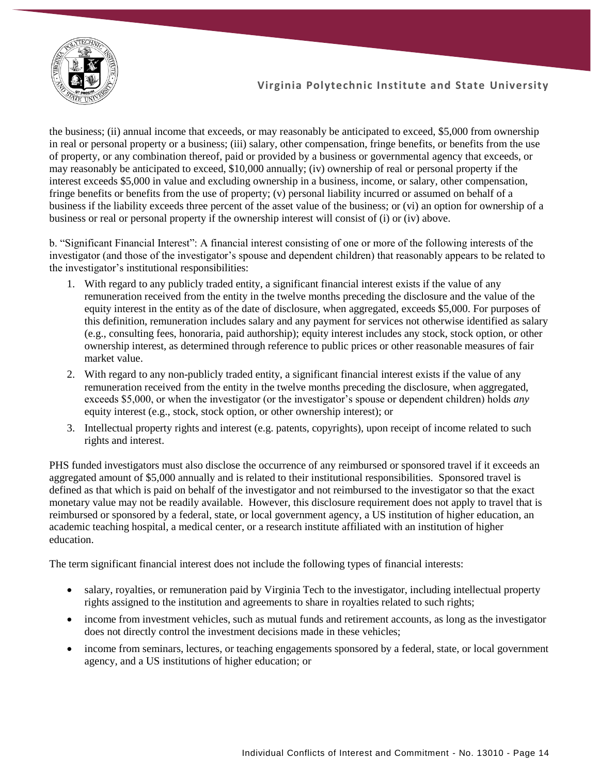

the business; (ii) annual income that exceeds, or may reasonably be anticipated to exceed, \$5,000 from ownership in real or personal property or a business; (iii) salary, other compensation, fringe benefits, or benefits from the use of property, or any combination thereof, paid or provided by a business or governmental agency that exceeds, or may reasonably be anticipated to exceed, \$10,000 annually; (iv) ownership of real or personal property if the interest exceeds \$5,000 in value and excluding ownership in a business, income, or salary, other compensation, fringe benefits or benefits from the use of property; (v) personal liability incurred or assumed on behalf of a business if the liability exceeds three percent of the asset value of the business; or (vi) an option for ownership of a business or real or personal property if the ownership interest will consist of (i) or (iv) above.

b. "Significant Financial Interest": A financial interest consisting of one or more of the following interests of the investigator (and those of the investigator's spouse and dependent children) that reasonably appears to be related to the investigator's institutional responsibilities:

- 1. With regard to any publicly traded entity, a significant financial interest exists if the value of any remuneration received from the entity in the twelve months preceding the disclosure and the value of the equity interest in the entity as of the date of disclosure, when aggregated, exceeds \$5,000. For purposes of this definition, remuneration includes salary and any payment for services not otherwise identified as salary (e.g., consulting fees, honoraria, paid authorship); equity interest includes any stock, stock option, or other ownership interest, as determined through reference to public prices or other reasonable measures of fair market value.
- 2. With regard to any non-publicly traded entity, a significant financial interest exists if the value of any remuneration received from the entity in the twelve months preceding the disclosure, when aggregated, exceeds \$5,000, or when the investigator (or the investigator's spouse or dependent children) holds *any* equity interest (e.g., stock, stock option, or other ownership interest); or
- 3. Intellectual property rights and interest (e.g. patents, copyrights), upon receipt of income related to such rights and interest.

PHS funded investigators must also disclose the occurrence of any reimbursed or sponsored travel if it exceeds an aggregated amount of \$5,000 annually and is related to their institutional responsibilities. Sponsored travel is defined as that which is paid on behalf of the investigator and not reimbursed to the investigator so that the exact monetary value may not be readily available. However, this disclosure requirement does not apply to travel that is reimbursed or sponsored by a federal, state, or local government agency, a US institution of higher education, an academic teaching hospital, a medical center, or a research institute affiliated with an institution of higher education.

The term significant financial interest does not include the following types of financial interests:

- salary, royalties, or remuneration paid by Virginia Tech to the investigator, including intellectual property rights assigned to the institution and agreements to share in royalties related to such rights;
- income from investment vehicles, such as mutual funds and retirement accounts, as long as the investigator does not directly control the investment decisions made in these vehicles;
- income from seminars, lectures, or teaching engagements sponsored by a federal, state, or local government agency, and a US institutions of higher education; or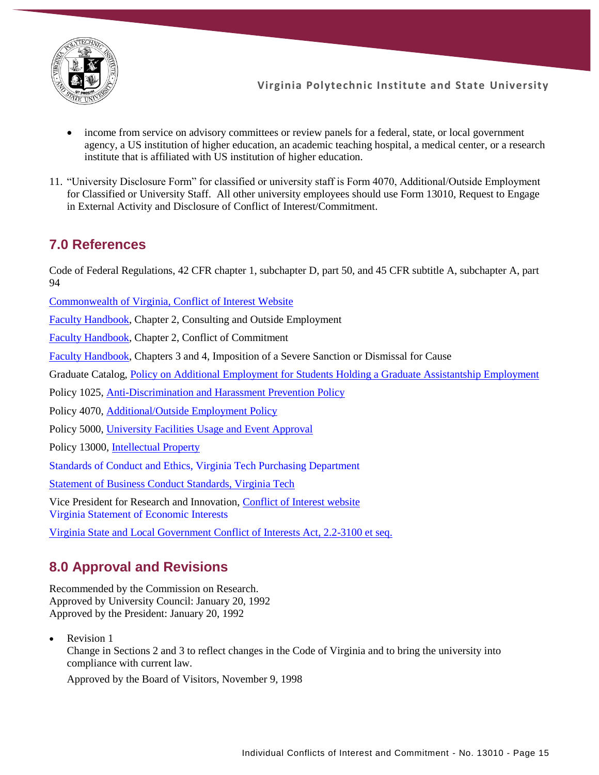

- income from service on advisory committees or review panels for a federal, state, or local government agency, a US institution of higher education, an academic teaching hospital, a medical center, or a research institute that is affiliated with US institution of higher education.
- 11. "University Disclosure Form" for classified or university staff is Form 4070, Additional/Outside Employment for Classified or University Staff. All other university employees should use Form 13010, Request to Engage in External Activity and Disclosure of Conflict of Interest/Commitment.

# **7.0 References**

Code of Federal Regulations, 42 CFR chapter 1, subchapter D, part 50, and 45 CFR subtitle A, subchapter A, part 94

[Commonwealth of Virginia, Conflict of Interest Website](https://law.lis.virginia.gov/vacodepopularnames/state-and-local-government-conflict-of-interests-act/)

[Faculty Handbook,](https://faculty.vt.edu/faculty-handbook.html) Chapter 2, Consulting and Outside Employment

[Faculty Handbook,](https://faculty.vt.edu/faculty-handbook.html) Chapter 2, Conflict of Commitment

[Faculty Handbook,](https://faculty.vt.edu/faculty-handbook.html) Chapters 3 and 4, Imposition of a Severe Sanction or Dismissal for Cause

Graduate Catalog, [Policy on Additional Employment for Students Holding a Graduate](https://secure.graduateschool.vt.edu/graduate_catalog/policies.htm?policy=002d14432c654287012c6542e38200ba) Assistantship Employment

Policy 1025, [Anti-Discrimination and Harassment Prevention Policy](https://policies.vt.edu/assets/1025.pdf)

Policy 4070, [Additional/Outside Employment Policy](https://policies.vt.edu/assets/4070.pdf)

Policy 5000, [University Facilities Usage and Event Approval](https://policies.vt.edu/assets/5000.pdf)

Policy 13000, [Intellectual Property](https://policies.vt.edu/assets/13000.pdf)

Standards of Conduct and Ethics, Virginia Tech Purchasing Department

[Statement of Business Conduct Standards, Virginia Tech](https://financialmanagement.vpfin.vt.edu/business-practices/business-conduct-standards.html)

Vice President for Research and Innovation, [Conflict of Interest website](https://www.research.vt.edu/coi.html) Virginia Statement of Economic Interests

[Virginia State and Local Government Conflict of Interests Act, 2.2-3100 et seq.](https://law.lis.virginia.gov/vacodepopularnames/state-and-local-government-conflict-of-interests-act/)

# **8.0 Approval and Revisions**

Recommended by the Commission on Research. Approved by University Council: January 20, 1992 Approved by the President: January 20, 1992

Revision 1 Change in Sections 2 and 3 to reflect changes in the Code of Virginia and to bring the university into compliance with current law.

Approved by the Board of Visitors, November 9, 1998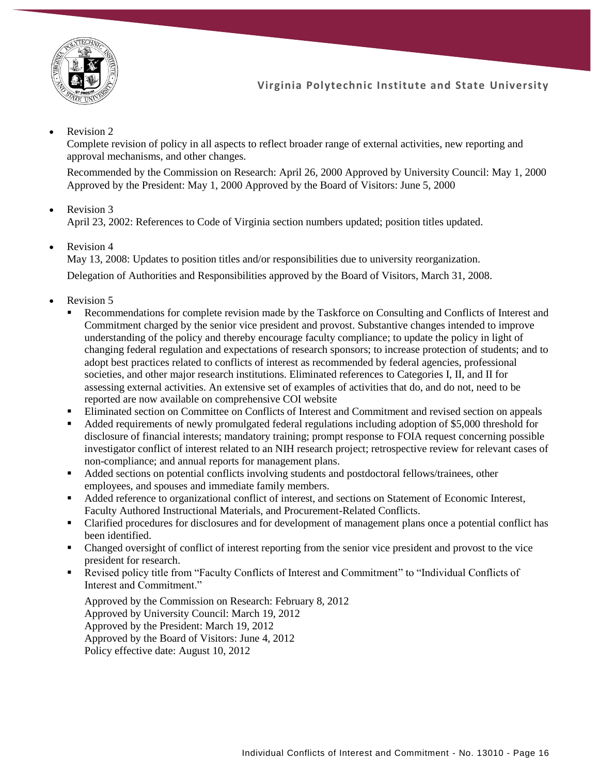

#### Revision 2

Complete revision of policy in all aspects to reflect broader range of external activities, new reporting and approval mechanisms, and other changes.

Recommended by the Commission on Research: April 26, 2000 Approved by University Council: May 1, 2000 Approved by the President: May 1, 2000 Approved by the Board of Visitors: June 5, 2000

Revision 3

April 23, 2002: References to Code of Virginia section numbers updated; position titles updated.

Revision 4

May 13, 2008: Updates to position titles and/or responsibilities due to university reorganization. Delegation of Authorities and Responsibilities approved by the Board of Visitors, March 31, 2008.

- Revision 5
	- Recommendations for complete revision made by the Taskforce on Consulting and Conflicts of Interest and Commitment charged by the senior vice president and provost. Substantive changes intended to improve understanding of the policy and thereby encourage faculty compliance; to update the policy in light of changing federal regulation and expectations of research sponsors; to increase protection of students; and to adopt best practices related to conflicts of interest as recommended by federal agencies, professional societies, and other major research institutions. Eliminated references to Categories I, II, and II for assessing external activities. An extensive set of examples of activities that do, and do not, need to be reported are now available on comprehensive COI website
	- **Eliminated section on Committee on Conflicts of Interest and Commitment and revised section on appeals**
	- Added requirements of newly promulgated federal regulations including adoption of \$5,000 threshold for disclosure of financial interests; mandatory training; prompt response to FOIA request concerning possible investigator conflict of interest related to an NIH research project; retrospective review for relevant cases of non-compliance; and annual reports for management plans.
	- Added sections on potential conflicts involving students and postdoctoral fellows/trainees, other employees, and spouses and immediate family members.
	- Added reference to organizational conflict of interest, and sections on Statement of Economic Interest, Faculty Authored Instructional Materials, and Procurement-Related Conflicts.
	- Clarified procedures for disclosures and for development of management plans once a potential conflict has been identified.
	- Changed oversight of conflict of interest reporting from the senior vice president and provost to the vice president for research.
	- Revised policy title from "Faculty Conflicts of Interest and Commitment" to "Individual Conflicts of Interest and Commitment."

Approved by the Commission on Research: February 8, 2012 Approved by University Council: March 19, 2012 Approved by the President: March 19, 2012 Approved by the Board of Visitors: June 4, 2012 Policy effective date: August 10, 2012